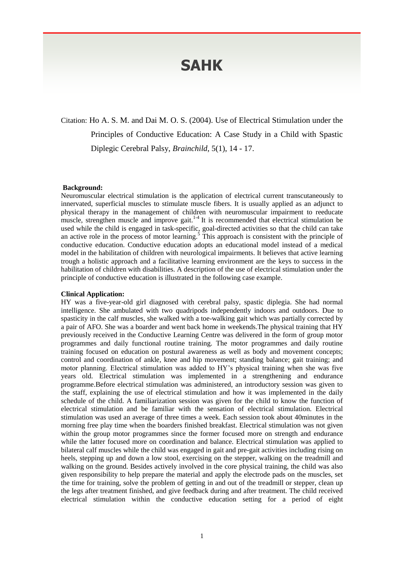# **SAHK**

Citation: Ho A. S. M. and Dai M. O. S. (2004). Use of Electrical Stimulation under the Principles of Conductive Education: A Case Study in a Child with Spastic Diplegic Cerebral Palsy, *Brainchild*, 5(1), 14 - 17.

#### **Background:**

Neuromuscular electrical stimulation is the application of electrical current transcutaneously to innervated, superficial muscles to stimulate muscle fibers. It is usually applied as an adjunct to physical therapy in the management of children with neuromuscular impairment to reeducate muscle, strengthen muscle and improve gait.<sup>1-4</sup> It is recommended that electrical stimulation be used while the child is engaged in task-specific, goal-directed activities so that the child can take an active role in the process of motor learning.<sup>5</sup> This approach is consistent with the principle of conductive education. Conductive education adopts an educational model instead of a medical model in the habilitation of children with neurological impairments. It believes that active learning trough a holistic approach and a facilitative learning environment are the keys to success in the habilitation of children with disabilities. A description of the use of electrical stimulation under the principle of conductive education is illustrated in the following case example.

## **Clinical Application:**

HY was a five-year-old girl diagnosed with cerebral palsy, spastic diplegia. She had normal intelligence. She ambulated with two quadripods independently indoors and outdoors. Due to spasticity in the calf muscles, she walked with a toe-walking gait which was partially corrected by a pair of AFO. She was a boarder and went back home in weekends.The physical training that HY previously received in the Conductive Learning Centre was delivered in the form of group motor programmes and daily functional routine training. The motor programmes and daily routine training focused on education on postural awareness as well as body and movement concepts; control and coordination of ankle, knee and hip movement; standing balance; gait training; and motor planning. Electrical stimulation was added to HY's physical training when she was five years old. Electrical stimulation was implemented in a strengthening and endurance programme.Before electrical stimulation was administered, an introductory session was given to the staff, explaining the use of electrical stimulation and how it was implemented in the daily schedule of the child. A familiarization session was given for the child to know the function of electrical stimulation and be familiar with the sensation of electrical stimulation. Electrical stimulation was used an average of three times a week. Each session took about 40minutes in the morning free play time when the boarders finished breakfast. Electrical stimulation was not given within the group motor programmes since the former focused more on strength and endurance while the latter focused more on coordination and balance. Electrical stimulation was applied to bilateral calf muscles while the child was engaged in gait and pre-gait activities including rising on heels, stepping up and down a low stool, exercising on the stepper, walking on the treadmill and walking on the ground. Besides actively involved in the core physical training, the child was also given responsibility to help prepare the material and apply the electrode pads on the muscles, set the time for training, solve the problem of getting in and out of the treadmill or stepper, clean up the legs after treatment finished, and give feedback during and after treatment. The child received electrical stimulation within the conductive education setting for a period of eight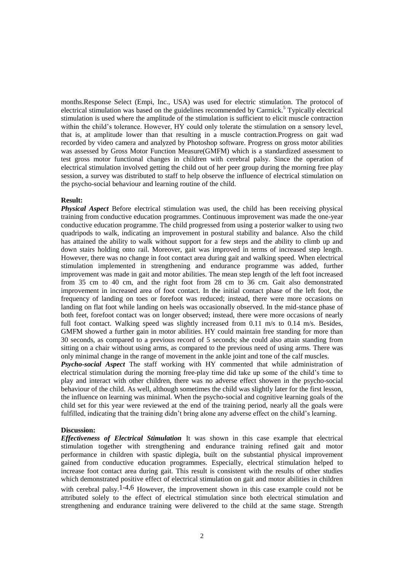months.Response Select (Empi, Inc., USA) was used for electric stimulation. The protocol of electrical stimulation was based on the guidelines recommended by Carmick.<sup>5</sup> Typically electrical stimulation is used where the amplitude of the stimulation is sufficient to elicit muscle contraction within the child's tolerance. However, HY could only tolerate the stimulation on a sensory level, that is, at amplitude lower than that resulting in a muscle contraction.Progress on gait wad recorded by video camera and analyzed by Photoshop software. Progress on gross motor abilities was assessed by Gross Motor Function Measure(GMFM) which is a standardized assessment to test gross motor functional changes in children with cerebral palsy. Since the operation of electrical stimulation involved getting the child out of her peer group during the morning free play session, a survey was distributed to staff to help observe the influence of electrical stimulation on the psycho-social behaviour and learning routine of the child.

#### **Result:**

*Physical Aspect* Before electrical stimulation was used, the child has been receiving physical training from conductive education programmes. Continuous improvement was made the one-year conductive education programme. The child progressed from using a posterior walker to using two quadripods to walk, indicating an improvement in postural stability and balance. Also the child has attained the ability to walk without support for a few steps and the ability to climb up and down stairs holding onto rail. Moreover, gait was improved in terms of increased step length. However, there was no change in foot contact area during gait and walking speed. When electrical stimulation implemented in strengthening and endurance programme was added, further improvement was made in gait and motor abilities. The mean step length of the left foot increased from 35 cm to 40 cm, and the right foot from 28 cm to 36 cm. Gait also demonstrated improvement in increased area of foot contact. In the initial contact phase of the left foot, the frequency of landing on toes or forefoot was reduced; instead, there were more occasions on landing on flat foot while landing on heels was occasionally observed. In the mid-stance phase of both feet, forefoot contact was on longer observed; instead, there were more occasions of nearly full foot contact. Walking speed was slightly increased from 0.11 m/s to 0.14 m/s. Besides, GMFM showed a further gain in motor abilities. HY could maintain free standing for more than 30 seconds, as compared to a previous record of 5 seconds; she could also attain standing from sitting on a chair without using arms, as compared to the previous need of using arms. There was only minimal change in the range of movement in the ankle joint and tone of the calf muscles.

*Psycho-social Aspect* The staff working with HY commented that while administration of electrical stimulation during the morning free-play time did take up some of the child's time to play and interact with other children, there was no adverse effect showen in the psycho-social behaviour of the child. As well, although sometimes the child was slightly later for the first lesson, the influence on learning was minimal. When the psycho-social and cognitive learning goals of the child set for this year were reviewed at the end of the training period, nearly all the goals were fulfilled, indicating that the training didn't bring alone any adverse effect on the child's learning.

### **Discussion:**

*Effectiveness of Electrical Stimulation* It was shown in this case example that electrical stimulation together with strengthening and endurance training refined gait and motor performance in children with spastic diplegia, built on the substantial physical improvement gained from conductive education programmes. Especially, electrical stimulation helped to increase foot contact area during gait. This result is consistent with the results of other studies which demonstrated positive effect of electrical stimulation on gait and motor abilities in children with cerebral palsy.<sup>1-4,6</sup> However, the improvement shown in this case example could not be attributed solely to the effect of electrical stimulation since both electrical stimulation and strengthening and endurance training were delivered to the child at the same stage. Strength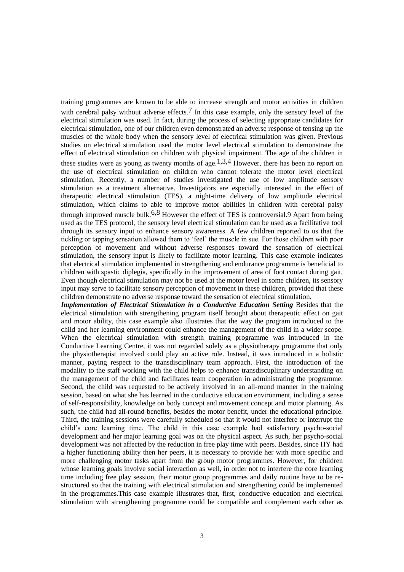training programmes are known to be able to increase strength and motor activities in children with cerebral palsy without adverse effects.<sup>7</sup> In this case example, only the sensory level of the electrical stimulation was used. In fact, during the process of selecting appropriate candidates for electrical stimulation, one of our children even demonstrated an adverse response of tensing up the muscles of the whole body when the sensory level of electrical stimulation was given. Previous studies on electrical stimulation used the motor level electrical stimulation to demonstrate the effect of electrical stimulation on children with physical impairment. The age of the children in these studies were as young as twenty months of age.<sup>1,3,4</sup> However, there has been no report on the use of electrical stimulation on children who cannot tolerate the motor level electrical stimulation. Recently, a number of studies investigated the use of low amplitude sensory stimulation as a treatment alternative. Investigators are especially interested in the effect of therapeutic electrical stimulation (TES), a night-time delivery of low amplitude electrical stimulation, which claims to able to improve motor abilities in children with cerebral palsy through improved muscle bulk.<sup>6,8</sup> However the effect of TES is controversial.9 Apart from being used as the TES protocol, the sensory level electrical stimulation can be used as a facilitative tool through its sensory input to enhance sensory awareness. A few children reported to us that the tickling or tapping sensation allowed them to 'feel' the muscle in sue. For those children with poor perception of movement and without adverse responses toward the sensation of electrical stimulation, the sensory input is likely to facilitate motor learning. This case example indicates that electrical stimulation implemented in strengthening and endurance programme is beneficial to children with spastic diplegia, specifically in the improvement of area of foot contact during gait. Even though electrical stimulation may not be used at the motor level in some children, its sensory input may serve to facilitate sensory perception of movement in these children, provided that these children demonstrate no adverse response toward the sensation of electrical stimulation.

*Implementation of Electrical Stimulation in a Conductive Education Setting* Besides that the electrical stimulation with strengthening program itself brought about therapeutic effect on gait and motor ability, this case example also illustrates that the way the program introduced to the child and her learning environment could enhance the management of the child in a wider scope. When the electrical stimulation with strength training programme was introduced in the Conductive Learning Centre, it was not regarded solely as a physiotherapy programme that only the physiotherapist involved could play an active role. Instead, it was introduced in a holistic manner, paying respect to the transdisciplinary team approach. First, the introduction of the modality to the staff working with the child helps to enhance transdiscuplinary understanding on the management of the child and facilitates team cooperation in administrating the programme. Second, the child was requested to be actively involved in an all-round manner in the training session, based on what she has learned in the conductive education environment, including a sense of self-responsibility, knowledge on body concept and movement concept and motor planning. As such, the child had all-round benefits, besides the motor benefit, under the educational principle. Third, the training sessions were carefully scheduled so that it would not interfere or interrupt the child's core learning time. The child in this case example had satisfactory psycho-social development and her major learning goal was on the physical aspect. As such, her psycho-social development was not affected by the reduction in free play time with peers. Besides, since HY had a higher functioning ability then her peers, it is necessary to provide her with more specific and more challenging motor tasks apart from the group motor programmes. However, for children whose learning goals involve social interaction as well, in order not to interfere the core learning time including free play session, their motor group programmes and daily routine have to be restructured so that the training with electrical stimulation and strengthening could be implemented in the programmes.This case example illustrates that, first, conductive education and electrical stimulation with strengthening programme could be compatible and complement each other as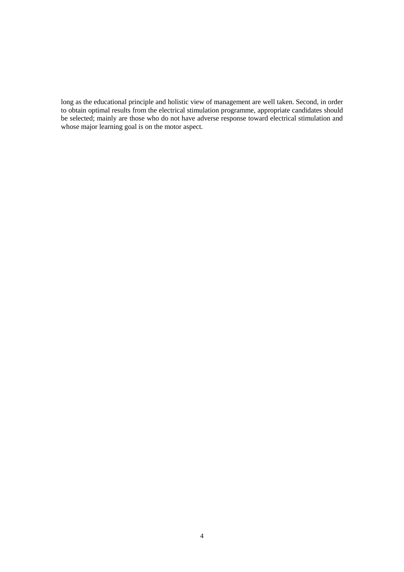long as the educational principle and holistic view of management are well taken. Second, in order to obtain optimal results from the electrical stimulation programme, appropriate candidates should be selected; mainly are those who do not have adverse response toward electrical stimulation and whose major learning goal is on the motor aspect.